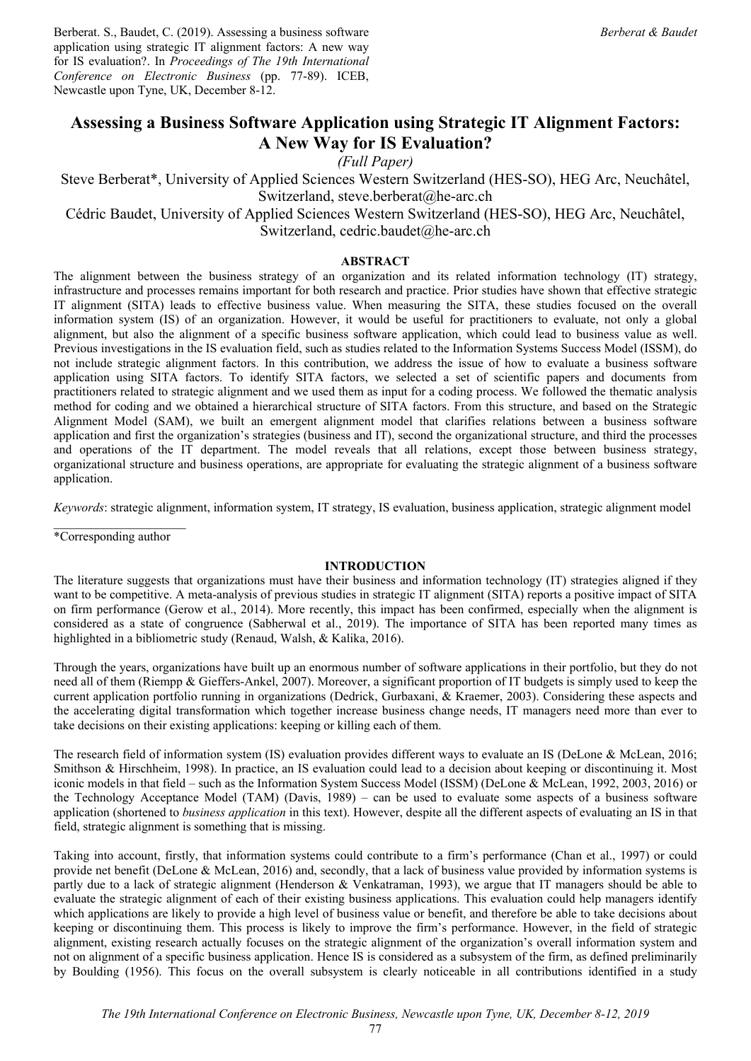Berberat. S., Baudet, C. (2019). Assessing a business software application using strategic IT alignment factors: A new way for IS evaluation?. In *Proceedings of The 19th International Conference on Electronic Business* (pp. 77-89). ICEB, Newcastle upon Tyne, UK, December 8-12.

# **Assessing a Business Software Application using Strategic IT Alignment Factors: A New Way for IS Evaluation?**

*(Full Paper)* 

Steve Berberat\*, University of Applied Sciences Western Switzerland (HES-SO), HEG Arc, Neuchâtel, Switzerland, steve.berberat@he-arc.ch

Cédric Baudet, University of Applied Sciences Western Switzerland (HES-SO), HEG Arc, Neuchâtel, Switzerland, cedric.baudet@he-arc.ch

# **ABSTRACT**

The alignment between the business strategy of an organization and its related information technology (IT) strategy, infrastructure and processes remains important for both research and practice. Prior studies have shown that effective strategic IT alignment (SITA) leads to effective business value. When measuring the SITA, these studies focused on the overall information system (IS) of an organization. However, it would be useful for practitioners to evaluate, not only a global alignment, but also the alignment of a specific business software application, which could lead to business value as well. Previous investigations in the IS evaluation field, such as studies related to the Information Systems Success Model (ISSM), do not include strategic alignment factors. In this contribution, we address the issue of how to evaluate a business software application using SITA factors. To identify SITA factors, we selected a set of scientific papers and documents from practitioners related to strategic alignment and we used them as input for a coding process. We followed the thematic analysis method for coding and we obtained a hierarchical structure of SITA factors. From this structure, and based on the Strategic Alignment Model (SAM), we built an emergent alignment model that clarifies relations between a business software application and first the organization's strategies (business and IT), second the organizational structure, and third the processes and operations of the IT department. The model reveals that all relations, except those between business strategy, organizational structure and business operations, are appropriate for evaluating the strategic alignment of a business software application.

*Keywords*: strategic alignment, information system, IT strategy, IS evaluation, business application, strategic alignment model

 $\mathcal{L}_\text{max}$ \*Corresponding author

## **INTRODUCTION**

The literature suggests that organizations must have their business and information technology (IT) strategies aligned if they want to be competitive. A meta-analysis of previous studies in strategic IT alignment (SITA) reports a positive impact of SITA on firm performance (Gerow et al., 2014). More recently, this impact has been confirmed, especially when the alignment is considered as a state of congruence (Sabherwal et al., 2019). The importance of SITA has been reported many times as highlighted in a bibliometric study (Renaud, Walsh, & Kalika, 2016).

Through the years, organizations have built up an enormous number of software applications in their portfolio, but they do not need all of them (Riempp & Gieffers-Ankel, 2007). Moreover, a significant proportion of IT budgets is simply used to keep the current application portfolio running in organizations (Dedrick, Gurbaxani, & Kraemer, 2003). Considering these aspects and the accelerating digital transformation which together increase business change needs, IT managers need more than ever to take decisions on their existing applications: keeping or killing each of them.

The research field of information system (IS) evaluation provides different ways to evaluate an IS (DeLone & McLean, 2016; Smithson & Hirschheim, 1998). In practice, an IS evaluation could lead to a decision about keeping or discontinuing it. Most iconic models in that field – such as the Information System Success Model (ISSM) (DeLone & McLean, 1992, 2003, 2016) or the Technology Acceptance Model (TAM) (Davis, 1989) – can be used to evaluate some aspects of a business software application (shortened to *business application* in this text). However, despite all the different aspects of evaluating an IS in that field, strategic alignment is something that is missing.

Taking into account, firstly, that information systems could contribute to a firm's performance (Chan et al., 1997) or could provide net benefit (DeLone & McLean, 2016) and, secondly, that a lack of business value provided by information systems is partly due to a lack of strategic alignment (Henderson & Venkatraman, 1993), we argue that IT managers should be able to evaluate the strategic alignment of each of their existing business applications. This evaluation could help managers identify which applications are likely to provide a high level of business value or benefit, and therefore be able to take decisions about keeping or discontinuing them. This process is likely to improve the firm's performance. However, in the field of strategic alignment, existing research actually focuses on the strategic alignment of the organization's overall information system and not on alignment of a specific business application. Hence IS is considered as a subsystem of the firm, as defined preliminarily by Boulding (1956). This focus on the overall subsystem is clearly noticeable in all contributions identified in a study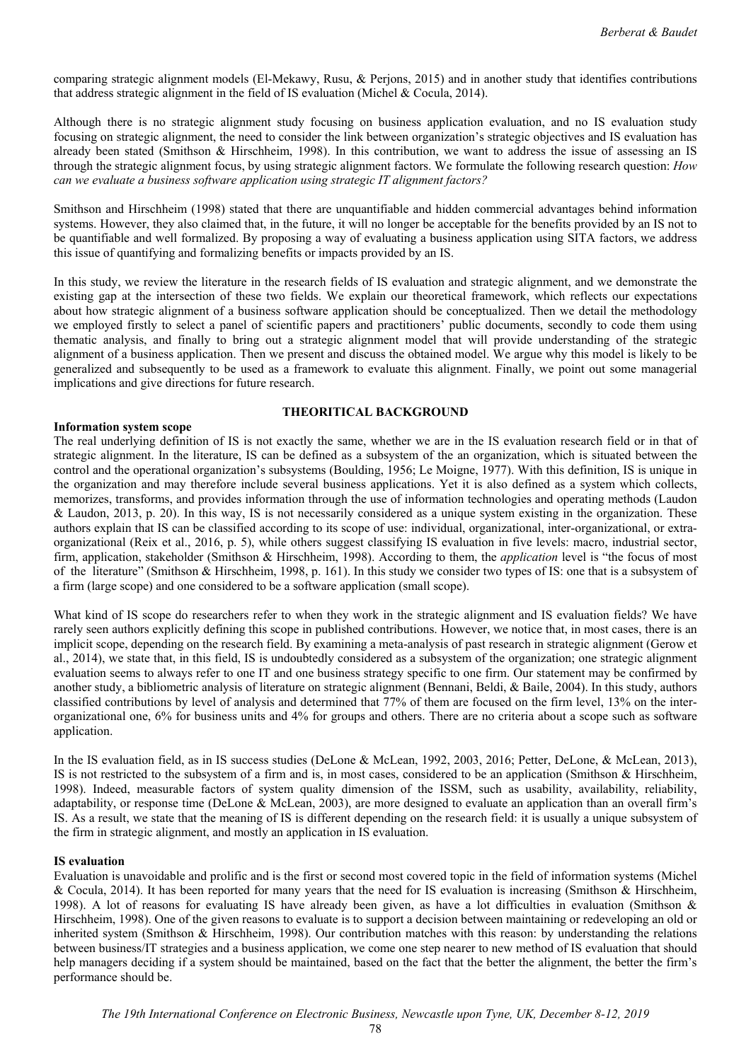comparing strategic alignment models (El-Mekawy, Rusu, & Perjons, 2015) and in another study that identifies contributions that address strategic alignment in the field of IS evaluation (Michel & Cocula, 2014).

Although there is no strategic alignment study focusing on business application evaluation, and no IS evaluation study focusing on strategic alignment, the need to consider the link between organization's strategic objectives and IS evaluation has already been stated (Smithson & Hirschheim, 1998). In this contribution, we want to address the issue of assessing an IS through the strategic alignment focus, by using strategic alignment factors. We formulate the following research question: *How can we evaluate a business software application using strategic IT alignment factors?*

Smithson and Hirschheim (1998) stated that there are unquantifiable and hidden commercial advantages behind information systems. However, they also claimed that, in the future, it will no longer be acceptable for the benefits provided by an IS not to be quantifiable and well formalized. By proposing a way of evaluating a business application using SITA factors, we address this issue of quantifying and formalizing benefits or impacts provided by an IS.

In this study, we review the literature in the research fields of IS evaluation and strategic alignment, and we demonstrate the existing gap at the intersection of these two fields. We explain our theoretical framework, which reflects our expectations about how strategic alignment of a business software application should be conceptualized. Then we detail the methodology we employed firstly to select a panel of scientific papers and practitioners' public documents, secondly to code them using thematic analysis, and finally to bring out a strategic alignment model that will provide understanding of the strategic alignment of a business application. Then we present and discuss the obtained model. We argue why this model is likely to be generalized and subsequently to be used as a framework to evaluate this alignment. Finally, we point out some managerial implications and give directions for future research.

## **Information system scope**

# **THEORITICAL BACKGROUND**

The real underlying definition of IS is not exactly the same, whether we are in the IS evaluation research field or in that of strategic alignment. In the literature, IS can be defined as a subsystem of the an organization, which is situated between the control and the operational organization's subsystems (Boulding, 1956; Le Moigne, 1977). With this definition, IS is unique in the organization and may therefore include several business applications. Yet it is also defined as a system which collects, memorizes, transforms, and provides information through the use of information technologies and operating methods (Laudon & Laudon, 2013, p. 20). In this way, IS is not necessarily considered as a unique system existing in the organization. These authors explain that IS can be classified according to its scope of use: individual, organizational, inter-organizational, or extraorganizational (Reix et al., 2016, p. 5), while others suggest classifying IS evaluation in five levels: macro, industrial sector, firm, application, stakeholder (Smithson & Hirschheim, 1998). According to them, the *application* level is "the focus of most of the literature" (Smithson & Hirschheim, 1998, p. 161). In this study we consider two types of IS: one that is a subsystem of a firm (large scope) and one considered to be a software application (small scope).

What kind of IS scope do researchers refer to when they work in the strategic alignment and IS evaluation fields? We have rarely seen authors explicitly defining this scope in published contributions. However, we notice that, in most cases, there is an implicit scope, depending on the research field. By examining a meta-analysis of past research in strategic alignment (Gerow et al., 2014), we state that, in this field, IS is undoubtedly considered as a subsystem of the organization; one strategic alignment evaluation seems to always refer to one IT and one business strategy specific to one firm. Our statement may be confirmed by another study, a bibliometric analysis of literature on strategic alignment (Bennani, Beldi, & Baile, 2004). In this study, authors classified contributions by level of analysis and determined that 77% of them are focused on the firm level, 13% on the interorganizational one, 6% for business units and 4% for groups and others. There are no criteria about a scope such as software application.

In the IS evaluation field, as in IS success studies (DeLone & McLean, 1992, 2003, 2016; Petter, DeLone, & McLean, 2013), IS is not restricted to the subsystem of a firm and is, in most cases, considered to be an application (Smithson & Hirschheim, 1998). Indeed, measurable factors of system quality dimension of the ISSM, such as usability, availability, reliability, adaptability, or response time (DeLone & McLean, 2003), are more designed to evaluate an application than an overall firm's IS. As a result, we state that the meaning of IS is different depending on the research field: it is usually a unique subsystem of the firm in strategic alignment, and mostly an application in IS evaluation.

## **IS evaluation**

Evaluation is unavoidable and prolific and is the first or second most covered topic in the field of information systems (Michel & Cocula, 2014). It has been reported for many years that the need for IS evaluation is increasing (Smithson & Hirschheim, 1998). A lot of reasons for evaluating IS have already been given, as have a lot difficulties in evaluation (Smithson  $\&$ Hirschheim, 1998). One of the given reasons to evaluate is to support a decision between maintaining or redeveloping an old or inherited system (Smithson & Hirschheim, 1998). Our contribution matches with this reason: by understanding the relations between business/IT strategies and a business application, we come one step nearer to new method of IS evaluation that should help managers deciding if a system should be maintained, based on the fact that the better the alignment, the better the firm's performance should be.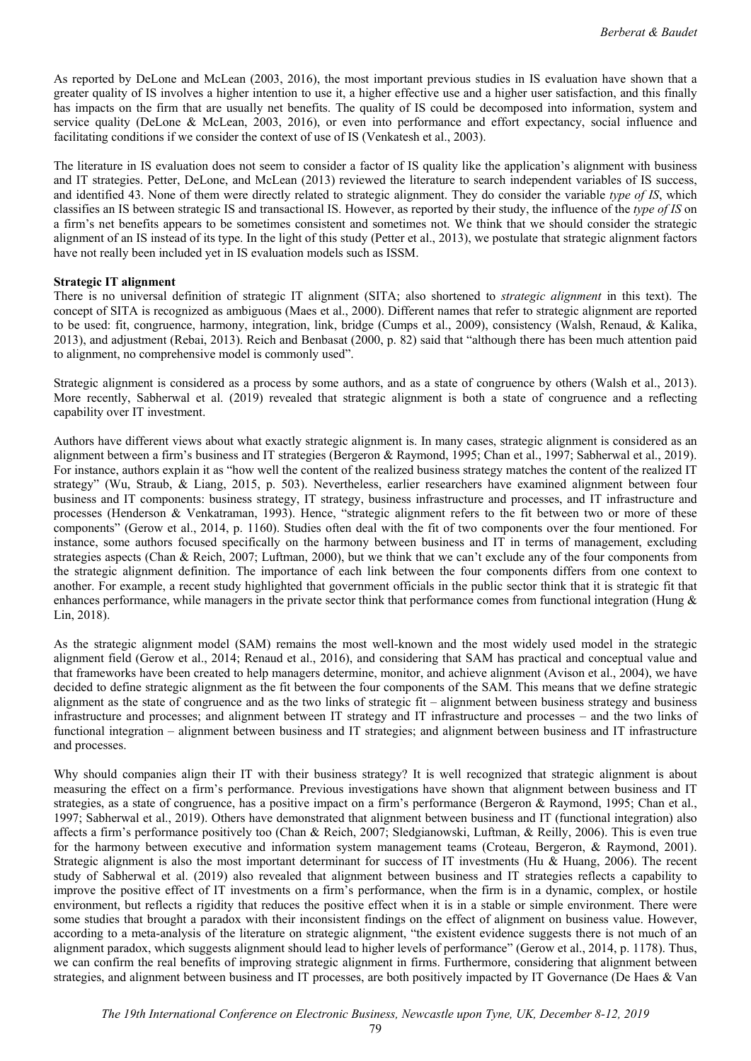As reported by DeLone and McLean (2003, 2016), the most important previous studies in IS evaluation have shown that a greater quality of IS involves a higher intention to use it, a higher effective use and a higher user satisfaction, and this finally has impacts on the firm that are usually net benefits. The quality of IS could be decomposed into information, system and service quality (DeLone & McLean, 2003, 2016), or even into performance and effort expectancy, social influence and facilitating conditions if we consider the context of use of IS (Venkatesh et al., 2003).

The literature in IS evaluation does not seem to consider a factor of IS quality like the application's alignment with business and IT strategies. Petter, DeLone, and McLean (2013) reviewed the literature to search independent variables of IS success, and identified 43. None of them were directly related to strategic alignment. They do consider the variable *type of IS*, which classifies an IS between strategic IS and transactional IS. However, as reported by their study, the influence of the *type of IS* on a firm's net benefits appears to be sometimes consistent and sometimes not. We think that we should consider the strategic alignment of an IS instead of its type. In the light of this study (Petter et al., 2013), we postulate that strategic alignment factors have not really been included yet in IS evaluation models such as ISSM.

# **Strategic IT alignment**

There is no universal definition of strategic IT alignment (SITA; also shortened to *strategic alignment* in this text). The concept of SITA is recognized as ambiguous (Maes et al., 2000). Different names that refer to strategic alignment are reported to be used: fit, congruence, harmony, integration, link, bridge (Cumps et al., 2009), consistency (Walsh, Renaud, & Kalika, 2013), and adjustment (Rebai, 2013). Reich and Benbasat (2000, p. 82) said that "although there has been much attention paid to alignment, no comprehensive model is commonly used".

Strategic alignment is considered as a process by some authors, and as a state of congruence by others (Walsh et al., 2013). More recently, Sabherwal et al. (2019) revealed that strategic alignment is both a state of congruence and a reflecting capability over IT investment.

Authors have different views about what exactly strategic alignment is. In many cases, strategic alignment is considered as an alignment between a firm's business and IT strategies (Bergeron & Raymond, 1995; Chan et al., 1997; Sabherwal et al., 2019). For instance, authors explain it as "how well the content of the realized business strategy matches the content of the realized IT strategy" (Wu, Straub, & Liang, 2015, p. 503). Nevertheless, earlier researchers have examined alignment between four business and IT components: business strategy, IT strategy, business infrastructure and processes, and IT infrastructure and processes (Henderson & Venkatraman, 1993). Hence, "strategic alignment refers to the fit between two or more of these components" (Gerow et al., 2014, p. 1160). Studies often deal with the fit of two components over the four mentioned. For instance, some authors focused specifically on the harmony between business and IT in terms of management, excluding strategies aspects (Chan & Reich, 2007; Luftman, 2000), but we think that we can't exclude any of the four components from the strategic alignment definition. The importance of each link between the four components differs from one context to another. For example, a recent study highlighted that government officials in the public sector think that it is strategic fit that enhances performance, while managers in the private sector think that performance comes from functional integration (Hung  $\&$ Lin, 2018).

As the strategic alignment model (SAM) remains the most well-known and the most widely used model in the strategic alignment field (Gerow et al., 2014; Renaud et al., 2016), and considering that SAM has practical and conceptual value and that frameworks have been created to help managers determine, monitor, and achieve alignment (Avison et al., 2004), we have decided to define strategic alignment as the fit between the four components of the SAM. This means that we define strategic alignment as the state of congruence and as the two links of strategic fit – alignment between business strategy and business infrastructure and processes; and alignment between IT strategy and IT infrastructure and processes – and the two links of functional integration – alignment between business and IT strategies; and alignment between business and IT infrastructure and processes.

Why should companies align their IT with their business strategy? It is well recognized that strategic alignment is about measuring the effect on a firm's performance. Previous investigations have shown that alignment between business and IT strategies, as a state of congruence, has a positive impact on a firm's performance (Bergeron & Raymond, 1995; Chan et al., 1997; Sabherwal et al., 2019). Others have demonstrated that alignment between business and IT (functional integration) also affects a firm's performance positively too (Chan & Reich, 2007; Sledgianowski, Luftman, & Reilly, 2006). This is even true for the harmony between executive and information system management teams (Croteau, Bergeron, & Raymond, 2001). Strategic alignment is also the most important determinant for success of IT investments (Hu & Huang, 2006). The recent study of Sabherwal et al. (2019) also revealed that alignment between business and IT strategies reflects a capability to improve the positive effect of IT investments on a firm's performance, when the firm is in a dynamic, complex, or hostile environment, but reflects a rigidity that reduces the positive effect when it is in a stable or simple environment. There were some studies that brought a paradox with their inconsistent findings on the effect of alignment on business value. However, according to a meta-analysis of the literature on strategic alignment, "the existent evidence suggests there is not much of an alignment paradox, which suggests alignment should lead to higher levels of performance" (Gerow et al., 2014, p. 1178). Thus, we can confirm the real benefits of improving strategic alignment in firms. Furthermore, considering that alignment between strategies, and alignment between business and IT processes, are both positively impacted by IT Governance (De Haes & Van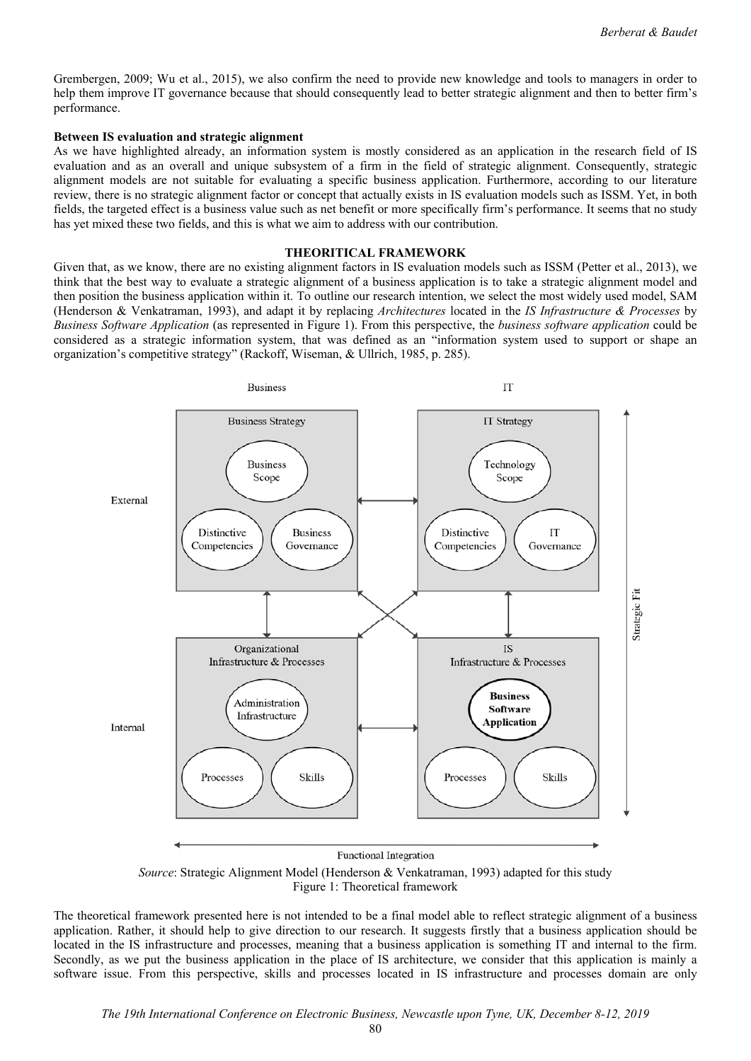Grembergen, 2009; Wu et al., 2015), we also confirm the need to provide new knowledge and tools to managers in order to help them improve IT governance because that should consequently lead to better strategic alignment and then to better firm's performance.

#### **Between IS evaluation and strategic alignment**

As we have highlighted already, an information system is mostly considered as an application in the research field of IS evaluation and as an overall and unique subsystem of a firm in the field of strategic alignment. Consequently, strategic alignment models are not suitable for evaluating a specific business application. Furthermore, according to our literature review, there is no strategic alignment factor or concept that actually exists in IS evaluation models such as ISSM. Yet, in both fields, the targeted effect is a business value such as net benefit or more specifically firm's performance. It seems that no study has yet mixed these two fields, and this is what we aim to address with our contribution.

#### **THEORITICAL FRAMEWORK**

Given that, as we know, there are no existing alignment factors in IS evaluation models such as ISSM (Petter et al., 2013), we think that the best way to evaluate a strategic alignment of a business application is to take a strategic alignment model and then position the business application within it. To outline our research intention, we select the most widely used model, SAM (Henderson & Venkatraman, 1993), and adapt it by replacing *Architectures* located in the *IS Infrastructure & Processes* by *Business Software Application* (as represented in Figure 1). From this perspective, the *business software application* could be considered as a strategic information system, that was defined as an "information system used to support or shape an organization's competitive strategy" (Rackoff, Wiseman, & Ullrich, 1985, p. 285).



*Source*: Strategic Alignment Model (Henderson & Venkatraman, 1993) adapted for this study Figure 1: Theoretical framework

The theoretical framework presented here is not intended to be a final model able to reflect strategic alignment of a business application. Rather, it should help to give direction to our research. It suggests firstly that a business application should be located in the IS infrastructure and processes, meaning that a business application is something IT and internal to the firm. Secondly, as we put the business application in the place of IS architecture, we consider that this application is mainly a software issue. From this perspective, skills and processes located in IS infrastructure and processes domain are only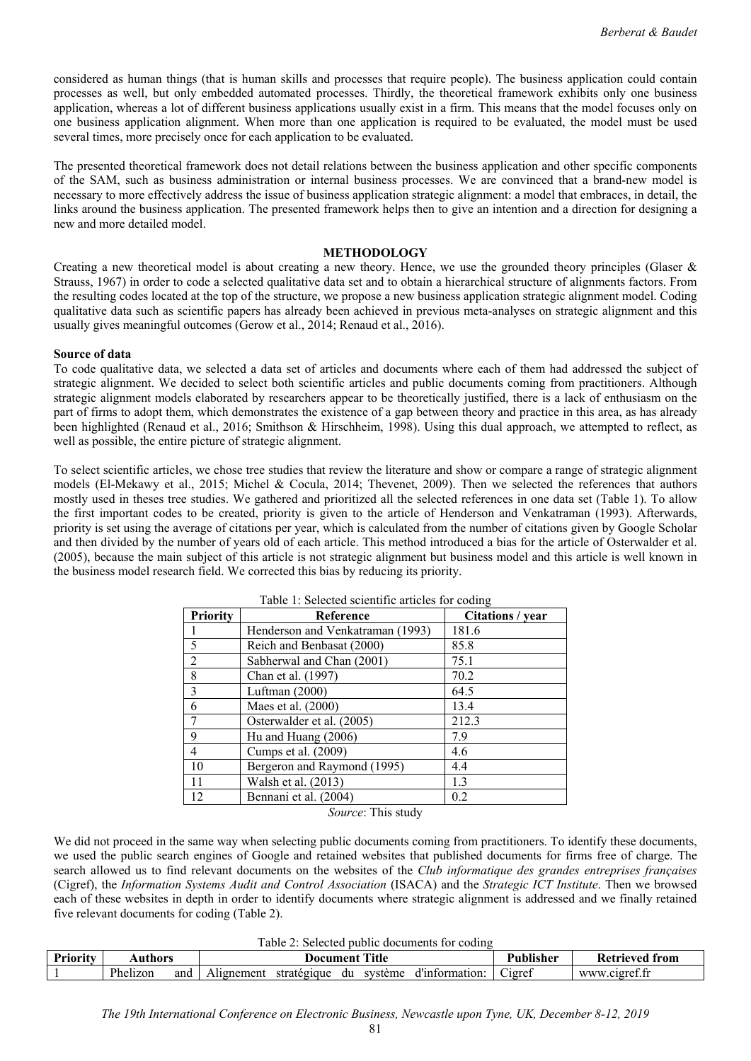considered as human things (that is human skills and processes that require people). The business application could contain processes as well, but only embedded automated processes. Thirdly, the theoretical framework exhibits only one business application, whereas a lot of different business applications usually exist in a firm. This means that the model focuses only on one business application alignment. When more than one application is required to be evaluated, the model must be used several times, more precisely once for each application to be evaluated.

The presented theoretical framework does not detail relations between the business application and other specific components of the SAM, such as business administration or internal business processes. We are convinced that a brand-new model is necessary to more effectively address the issue of business application strategic alignment: a model that embraces, in detail, the links around the business application. The presented framework helps then to give an intention and a direction for designing a new and more detailed model.

# **METHODOLOGY**

Creating a new theoretical model is about creating a new theory. Hence, we use the grounded theory principles (Glaser & Strauss, 1967) in order to code a selected qualitative data set and to obtain a hierarchical structure of alignments factors. From the resulting codes located at the top of the structure, we propose a new business application strategic alignment model. Coding qualitative data such as scientific papers has already been achieved in previous meta-analyses on strategic alignment and this usually gives meaningful outcomes (Gerow et al., 2014; Renaud et al., 2016).

# **Source of data**

To code qualitative data, we selected a data set of articles and documents where each of them had addressed the subject of strategic alignment. We decided to select both scientific articles and public documents coming from practitioners. Although strategic alignment models elaborated by researchers appear to be theoretically justified, there is a lack of enthusiasm on the part of firms to adopt them, which demonstrates the existence of a gap between theory and practice in this area, as has already been highlighted (Renaud et al., 2016; Smithson & Hirschheim, 1998). Using this dual approach, we attempted to reflect, as well as possible, the entire picture of strategic alignment.

To select scientific articles, we chose tree studies that review the literature and show or compare a range of strategic alignment models (El-Mekawy et al., 2015; Michel & Cocula, 2014; Thevenet, 2009). Then we selected the references that authors mostly used in theses tree studies. We gathered and prioritized all the selected references in one data set (Table 1). To allow the first important codes to be created, priority is given to the article of Henderson and Venkatraman (1993). Afterwards, priority is set using the average of citations per year, which is calculated from the number of citations given by Google Scholar and then divided by the number of years old of each article. This method introduced a bias for the article of Osterwalder et al. (2005), because the main subject of this article is not strategic alignment but business model and this article is well known in the business model research field. We corrected this bias by reducing its priority.

| <b>Priority</b> | Reference                        | Citations / year |  |
|-----------------|----------------------------------|------------------|--|
|                 | Henderson and Venkatraman (1993) | 181.6            |  |
| 5               | Reich and Benbasat (2000)        | 85.8             |  |
| $\overline{2}$  | Sabherwal and Chan (2001)        | 75.1             |  |
| 8               | Chan et al. (1997)               | 70.2             |  |
| 3               | Luftman $(2000)$                 | 64.5             |  |
| 6               | Maes et al. (2000)               | 13.4             |  |
| 7               | Osterwalder et al. (2005)        | 212.3            |  |
| 9               | Hu and Huang (2006)              | 7.9              |  |
| $\overline{4}$  | Cumps et al. (2009)              | 4.6              |  |
| 10              | Bergeron and Raymond (1995)      | 4.4              |  |
| 11              | Walsh et al. (2013)              | 1.3              |  |
| 12              | Bennani et al. (2004)            | 0.2              |  |

# Table 1: Selected scientific articles for coding

*Source*: This study

We did not proceed in the same way when selecting public documents coming from practitioners. To identify these documents, we used the public search engines of Google and retained websites that published documents for firms free of charge. The search allowed us to find relevant documents on the websites of the *Club informatique des grandes entreprises françaises* (Cigref), the *Information Systems Audit and Control Association* (ISACA) and the *Strategic ICT Institute*. Then we browsed each of these websites in depth in order to identify documents where strategic alignment is addressed and we finally retained five relevant documents for coding (Table 2).

# Table 2: Selected public documents for coding

| Priority | Authors  |     | Title<br>Documen |             |    |         |                | ılısher | Ketrieved<br>trom                      |
|----------|----------|-----|------------------|-------------|----|---------|----------------|---------|----------------------------------------|
|          | Phelizon | and | vlignement       | strategique | du | système | <br>`ormation: | Cigrei  | $\sim$ $\sim$<br>cioret.<br><b>WWW</b> |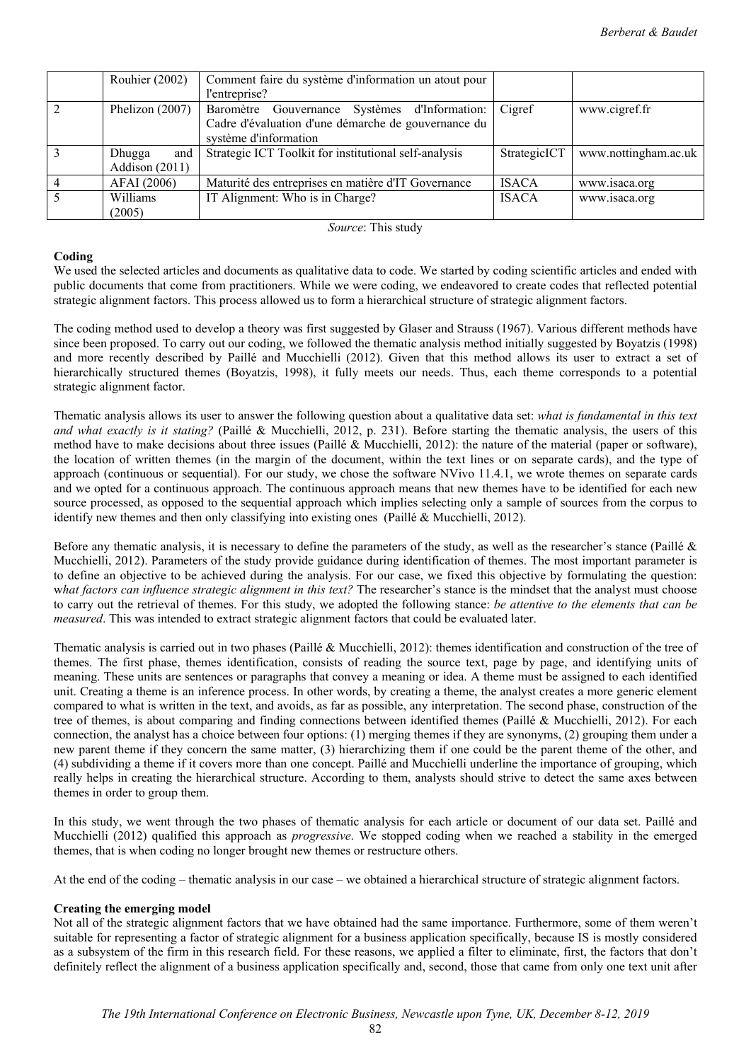|                          | Rouhier (2002)    | Comment faire du système d'information un atout pour  |              |                      |
|--------------------------|-------------------|-------------------------------------------------------|--------------|----------------------|
|                          |                   | l'entreprise?                                         |              |                      |
| $\overline{2}$           | Phelizon $(2007)$ | Baromètre Gouvernance Systèmes d'Information:         | Cigref       | www.cigref.fr        |
|                          |                   | Cadre d'évaluation d'une démarche de gouvernance du   |              |                      |
|                          |                   | système d'information                                 |              |                      |
| $\mathcal{R}$            | Dhugga<br>and     | Strategic ICT Toolkit for institutional self-analysis | StrategicICT | www.nottingham.ac.uk |
|                          | Addison (2011)    |                                                       |              |                      |
|                          | AFAI (2006)       | Maturité des entreprises en matière d'IT Governance   | <b>ISACA</b> | www.isaca.org        |
| $\overline{\mathcal{L}}$ | Williams          | IT Alignment: Who is in Charge?                       | <b>ISACA</b> | www.isaca.org        |
|                          | (2005)            |                                                       |              |                      |

*Source*: This study

# **Coding**

We used the selected articles and documents as qualitative data to code. We started by coding scientific articles and ended with public documents that come from practitioners. While we were coding, we endeavored to create codes that reflected potential strategic alignment factors. This process allowed us to form a hierarchical structure of strategic alignment factors.

The coding method used to develop a theory was first suggested by Glaser and Strauss (1967). Various different methods have since been proposed. To carry out our coding, we followed the thematic analysis method initially suggested by Boyatzis (1998) and more recently described by Paillé and Mucchielli (2012). Given that this method allows its user to extract a set of hierarchically structured themes (Boyatzis, 1998), it fully meets our needs. Thus, each theme corresponds to a potential strategic alignment factor.

Thematic analysis allows its user to answer the following question about a qualitative data set: *what is fundamental in this text and what exactly is it stating?* (Paillé & Mucchielli, 2012, p. 231). Before starting the thematic analysis, the users of this method have to make decisions about three issues (Paillé & Mucchielli, 2012): the nature of the material (paper or software), the location of written themes (in the margin of the document, within the text lines or on separate cards), and the type of approach (continuous or sequential). For our study, we chose the software NVivo 11.4.1, we wrote themes on separate cards and we opted for a continuous approach. The continuous approach means that new themes have to be identified for each new source processed, as opposed to the sequential approach which implies selecting only a sample of sources from the corpus to identify new themes and then only classifying into existing ones (Paillé & Mucchielli, 2012).

Before any thematic analysis, it is necessary to define the parameters of the study, as well as the researcher's stance (Paillé & Mucchielli, 2012). Parameters of the study provide guidance during identification of themes. The most important parameter is to define an objective to be achieved during the analysis. For our case, we fixed this objective by formulating the question: what factors can influence strategic alignment in this text? The researcher's stance is the mindset that the analyst must choose to carry out the retrieval of themes. For this study, we adopted the following stance: *be attentive to the elements that can be measured*. This was intended to extract strategic alignment factors that could be evaluated later.

Thematic analysis is carried out in two phases (Paillé & Mucchielli, 2012): themes identification and construction of the tree of themes. The first phase, themes identification, consists of reading the source text, page by page, and identifying units of meaning. These units are sentences or paragraphs that convey a meaning or idea. A theme must be assigned to each identified unit. Creating a theme is an inference process. In other words, by creating a theme, the analyst creates a more generic element compared to what is written in the text, and avoids, as far as possible, any interpretation. The second phase, construction of the tree of themes, is about comparing and finding connections between identified themes (Paillé & Mucchielli, 2012). For each connection, the analyst has a choice between four options: (1) merging themes if they are synonyms, (2) grouping them under a new parent theme if they concern the same matter, (3) hierarchizing them if one could be the parent theme of the other, and (4) subdividing a theme if it covers more than one concept. Paillé and Mucchielli underline the importance of grouping, which really helps in creating the hierarchical structure. According to them, analysts should strive to detect the same axes between themes in order to group them.

In this study, we went through the two phases of thematic analysis for each article or document of our data set. Paillé and Mucchielli (2012) qualified this approach as *progressive*. We stopped coding when we reached a stability in the emerged themes, that is when coding no longer brought new themes or restructure others.

At the end of the coding – thematic analysis in our case – we obtained a hierarchical structure of strategic alignment factors.

# **Creating the emerging model**

Not all of the strategic alignment factors that we have obtained had the same importance. Furthermore, some of them weren't suitable for representing a factor of strategic alignment for a business application specifically, because IS is mostly considered as a subsystem of the firm in this research field. For these reasons, we applied a filter to eliminate, first, the factors that don't definitely reflect the alignment of a business application specifically and, second, those that came from only one text unit after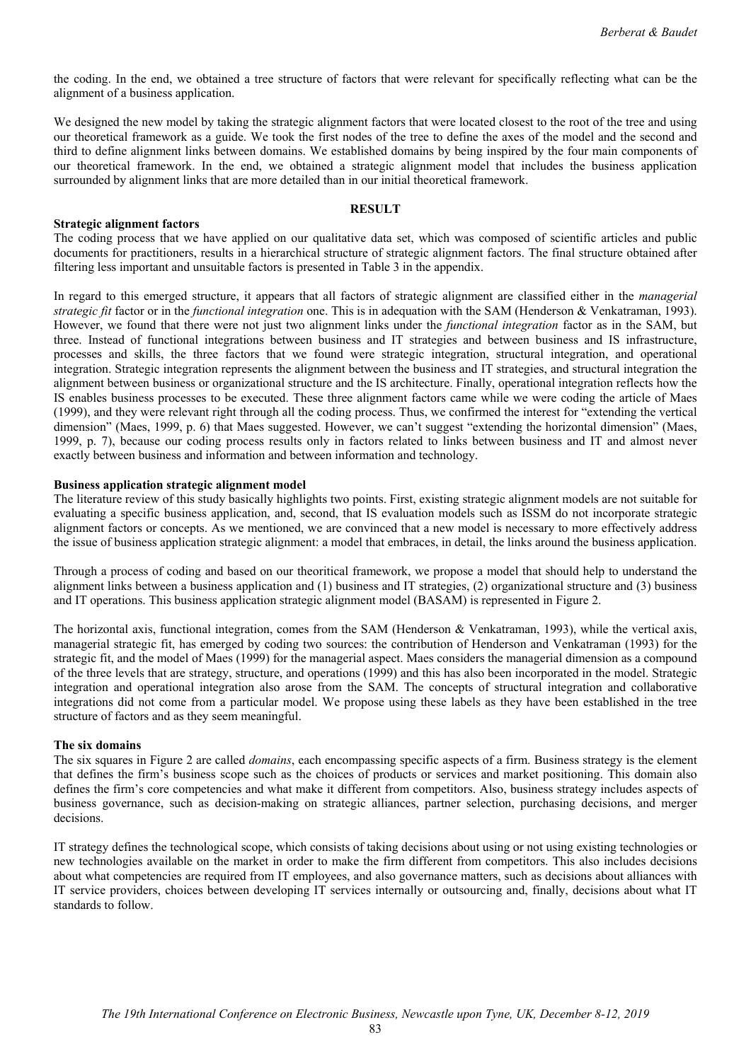the coding. In the end, we obtained a tree structure of factors that were relevant for specifically reflecting what can be the alignment of a business application.

We designed the new model by taking the strategic alignment factors that were located closest to the root of the tree and using our theoretical framework as a guide. We took the first nodes of the tree to define the axes of the model and the second and third to define alignment links between domains. We established domains by being inspired by the four main components of our theoretical framework. In the end, we obtained a strategic alignment model that includes the business application surrounded by alignment links that are more detailed than in our initial theoretical framework.

# **RESULT**

# **Strategic alignment factors**

The coding process that we have applied on our qualitative data set, which was composed of scientific articles and public documents for practitioners, results in a hierarchical structure of strategic alignment factors. The final structure obtained after filtering less important and unsuitable factors is presented in Table 3 in the appendix.

In regard to this emerged structure, it appears that all factors of strategic alignment are classified either in the *managerial strategic fit* factor or in the *functional integration* one. This is in adequation with the SAM (Henderson & Venkatraman, 1993). However, we found that there were not just two alignment links under the *functional integration* factor as in the SAM, but three. Instead of functional integrations between business and IT strategies and between business and IS infrastructure, processes and skills, the three factors that we found were strategic integration, structural integration, and operational integration. Strategic integration represents the alignment between the business and IT strategies, and structural integration the alignment between business or organizational structure and the IS architecture. Finally, operational integration reflects how the IS enables business processes to be executed. These three alignment factors came while we were coding the article of Maes (1999), and they were relevant right through all the coding process. Thus, we confirmed the interest for "extending the vertical dimension" (Maes, 1999, p. 6) that Maes suggested. However, we can't suggest "extending the horizontal dimension" (Maes, 1999, p. 7), because our coding process results only in factors related to links between business and IT and almost never exactly between business and information and between information and technology.

## **Business application strategic alignment model**

The literature review of this study basically highlights two points. First, existing strategic alignment models are not suitable for evaluating a specific business application, and, second, that IS evaluation models such as ISSM do not incorporate strategic alignment factors or concepts. As we mentioned, we are convinced that a new model is necessary to more effectively address the issue of business application strategic alignment: a model that embraces, in detail, the links around the business application.

Through a process of coding and based on our theoritical framework, we propose a model that should help to understand the alignment links between a business application and (1) business and IT strategies, (2) organizational structure and (3) business and IT operations. This business application strategic alignment model (BASAM) is represented in Figure 2.

The horizontal axis, functional integration, comes from the SAM (Henderson & Venkatraman, 1993), while the vertical axis, managerial strategic fit, has emerged by coding two sources: the contribution of Henderson and Venkatraman (1993) for the strategic fit, and the model of Maes (1999) for the managerial aspect. Maes considers the managerial dimension as a compound of the three levels that are strategy, structure, and operations (1999) and this has also been incorporated in the model. Strategic integration and operational integration also arose from the SAM. The concepts of structural integration and collaborative integrations did not come from a particular model. We propose using these labels as they have been established in the tree structure of factors and as they seem meaningful.

## **The six domains**

The six squares in Figure 2 are called *domains*, each encompassing specific aspects of a firm. Business strategy is the element that defines the firm's business scope such as the choices of products or services and market positioning. This domain also defines the firm's core competencies and what make it different from competitors. Also, business strategy includes aspects of business governance, such as decision-making on strategic alliances, partner selection, purchasing decisions, and merger decisions.

IT strategy defines the technological scope, which consists of taking decisions about using or not using existing technologies or new technologies available on the market in order to make the firm different from competitors. This also includes decisions about what competencies are required from IT employees, and also governance matters, such as decisions about alliances with IT service providers, choices between developing IT services internally or outsourcing and, finally, decisions about what IT standards to follow.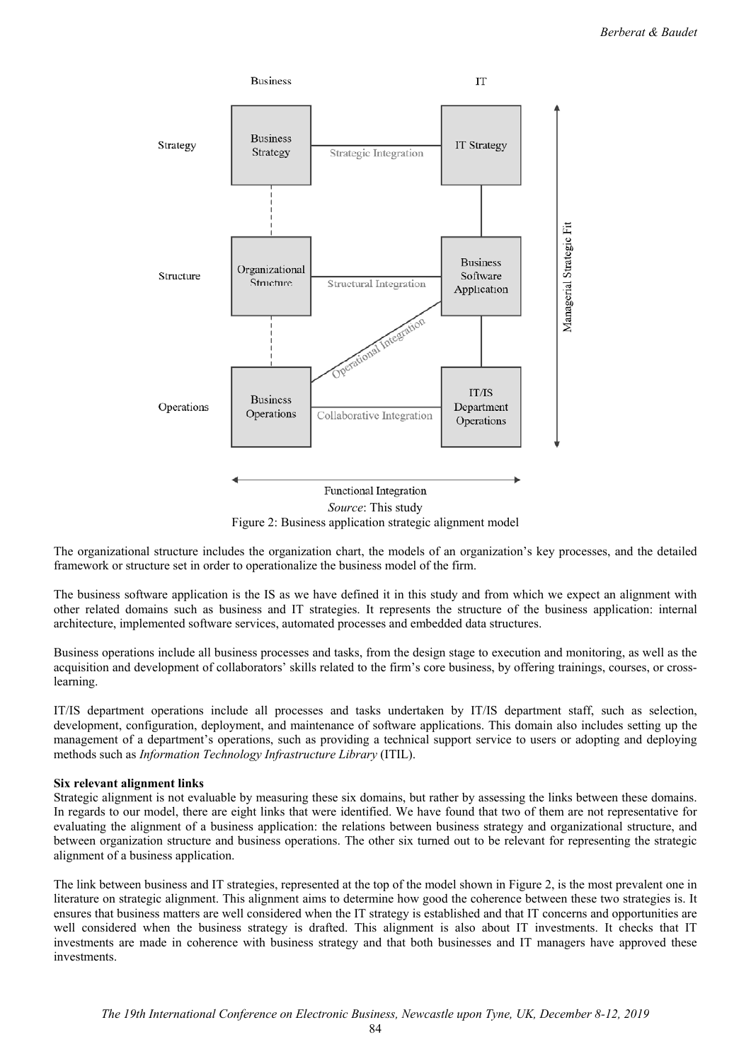

*Source*: This study Figure 2: Business application strategic alignment model

The organizational structure includes the organization chart, the models of an organization's key processes, and the detailed framework or structure set in order to operationalize the business model of the firm.

The business software application is the IS as we have defined it in this study and from which we expect an alignment with other related domains such as business and IT strategies. It represents the structure of the business application: internal architecture, implemented software services, automated processes and embedded data structures.

Business operations include all business processes and tasks, from the design stage to execution and monitoring, as well as the acquisition and development of collaborators' skills related to the firm's core business, by offering trainings, courses, or crosslearning.

IT/IS department operations include all processes and tasks undertaken by IT/IS department staff, such as selection, development, configuration, deployment, and maintenance of software applications. This domain also includes setting up the management of a department's operations, such as providing a technical support service to users or adopting and deploying methods such as *Information Technology Infrastructure Library* (ITIL).

# **Six relevant alignment links**

Strategic alignment is not evaluable by measuring these six domains, but rather by assessing the links between these domains. In regards to our model, there are eight links that were identified. We have found that two of them are not representative for evaluating the alignment of a business application: the relations between business strategy and organizational structure, and between organization structure and business operations. The other six turned out to be relevant for representing the strategic alignment of a business application.

The link between business and IT strategies, represented at the top of the model shown in Figure 2, is the most prevalent one in literature on strategic alignment. This alignment aims to determine how good the coherence between these two strategies is. It ensures that business matters are well considered when the IT strategy is established and that IT concerns and opportunities are well considered when the business strategy is drafted. This alignment is also about IT investments. It checks that IT investments are made in coherence with business strategy and that both businesses and IT managers have approved these investments.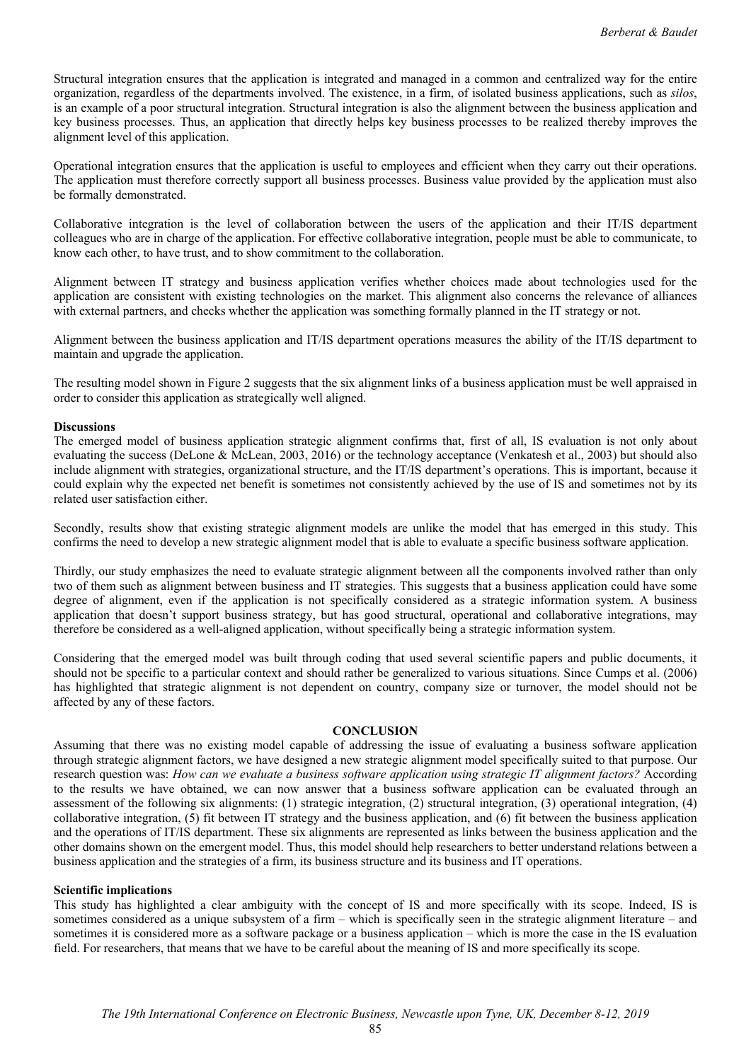Structural integration ensures that the application is integrated and managed in a common and centralized way for the entire organization, regardless of the departments involved. The existence, in a firm, of isolated business applications, such as *silos*, is an example of a poor structural integration. Structural integration is also the alignment between the business application and key business processes. Thus, an application that directly helps key business processes to be realized thereby improves the alignment level of this application.

Operational integration ensures that the application is useful to employees and efficient when they carry out their operations. The application must therefore correctly support all business processes. Business value provided by the application must also be formally demonstrated.

Collaborative integration is the level of collaboration between the users of the application and their IT/IS department colleagues who are in charge of the application. For effective collaborative integration, people must be able to communicate, to know each other, to have trust, and to show commitment to the collaboration.

Alignment between IT strategy and business application verifies whether choices made about technologies used for the application are consistent with existing technologies on the market. This alignment also concerns the relevance of alliances with external partners, and checks whether the application was something formally planned in the IT strategy or not.

Alignment between the business application and IT/IS department operations measures the ability of the IT/IS department to maintain and upgrade the application.

The resulting model shown in Figure 2 suggests that the six alignment links of a business application must be well appraised in order to consider this application as strategically well aligned.

# **Discussions**

The emerged model of business application strategic alignment confirms that, first of all, IS evaluation is not only about evaluating the success (DeLone & McLean, 2003, 2016) or the technology acceptance (Venkatesh et al., 2003) but should also include alignment with strategies, organizational structure, and the IT/IS department's operations. This is important, because it could explain why the expected net benefit is sometimes not consistently achieved by the use of IS and sometimes not by its related user satisfaction either.

Secondly, results show that existing strategic alignment models are unlike the model that has emerged in this study. This confirms the need to develop a new strategic alignment model that is able to evaluate a specific business software application.

Thirdly, our study emphasizes the need to evaluate strategic alignment between all the components involved rather than only two of them such as alignment between business and IT strategies. This suggests that a business application could have some degree of alignment, even if the application is not specifically considered as a strategic information system. A business application that doesn't support business strategy, but has good structural, operational and collaborative integrations, may therefore be considered as a well-aligned application, without specifically being a strategic information system.

Considering that the emerged model was built through coding that used several scientific papers and public documents, it should not be specific to a particular context and should rather be generalized to various situations. Since Cumps et al. (2006) has highlighted that strategic alignment is not dependent on country, company size or turnover, the model should not be affected by any of these factors.

## **CONCLUSION**

Assuming that there was no existing model capable of addressing the issue of evaluating a business software application through strategic alignment factors, we have designed a new strategic alignment model specifically suited to that purpose. Our research question was: *How can we evaluate a business software application using strategic IT alignment factors?* According to the results we have obtained, we can now answer that a business software application can be evaluated through an assessment of the following six alignments: (1) strategic integration, (2) structural integration, (3) operational integration, (4) collaborative integration, (5) fit between IT strategy and the business application, and (6) fit between the business application and the operations of IT/IS department. These six alignments are represented as links between the business application and the other domains shown on the emergent model. Thus, this model should help researchers to better understand relations between a business application and the strategies of a firm, its business structure and its business and IT operations.

# **Scientific implications**

This study has highlighted a clear ambiguity with the concept of IS and more specifically with its scope. Indeed, IS is sometimes considered as a unique subsystem of a firm – which is specifically seen in the strategic alignment literature – and sometimes it is considered more as a software package or a business application – which is more the case in the IS evaluation field. For researchers, that means that we have to be careful about the meaning of IS and more specifically its scope.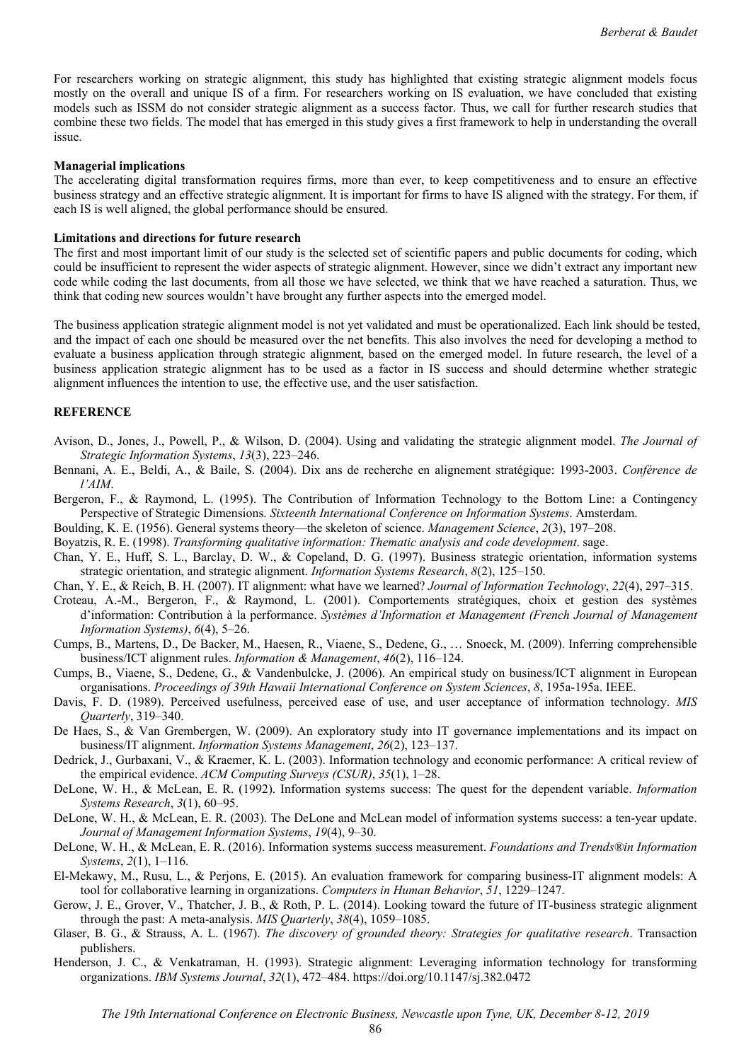For researchers working on strategic alignment, this study has highlighted that existing strategic alignment models focus mostly on the overall and unique IS of a firm. For researchers working on IS evaluation, we have concluded that existing models such as ISSM do not consider strategic alignment as a success factor. Thus, we call for further research studies that combine these two fields. The model that has emerged in this study gives a first framework to help in understanding the overall issue.

#### **Managerial implications**

The accelerating digital transformation requires firms, more than ever, to keep competitiveness and to ensure an effective business strategy and an effective strategic alignment. It is important for firms to have IS aligned with the strategy. For them, if each IS is well aligned, the global performance should be ensured.

#### **Limitations and directions for future research**

The first and most important limit of our study is the selected set of scientific papers and public documents for coding, which could be insufficient to represent the wider aspects of strategic alignment. However, since we didn't extract any important new code while coding the last documents, from all those we have selected, we think that we have reached a saturation. Thus, we think that coding new sources wouldn't have brought any further aspects into the emerged model.

The business application strategic alignment model is not yet validated and must be operationalized. Each link should be tested, and the impact of each one should be measured over the net benefits. This also involves the need for developing a method to evaluate a business application through strategic alignment, based on the emerged model. In future research, the level of a business application strategic alignment has to be used as a factor in IS success and should determine whether strategic alignment influences the intention to use, the effective use, and the user satisfaction.

#### **REFERENCE**

- Avison, D., Jones, J., Powell, P., & Wilson, D. (2004). Using and validating the strategic alignment model. *The Journal of Strategic Information Systems*, *13*(3), 223–246.
- Bennani, A. E., Beldi, A., & Baile, S. (2004). Dix ans de recherche en alignement stratégique: 1993-2003. *Conférence de l'AIM*.
- Bergeron, F., & Raymond, L. (1995). The Contribution of Information Technology to the Bottom Line: a Contingency Perspective of Strategic Dimensions. *Sixteenth International Conference on Information Systems*. Amsterdam.
- Boulding, K. E. (1956). General systems theory—the skeleton of science. *Management Science*, *2*(3), 197–208.
- Boyatzis, R. E. (1998). *Transforming qualitative information: Thematic analysis and code development*. sage.
- Chan, Y. E., Huff, S. L., Barclay, D. W., & Copeland, D. G. (1997). Business strategic orientation, information systems strategic orientation, and strategic alignment. *Information Systems Research*, *8*(2), 125–150.
- Chan, Y. E., & Reich, B. H. (2007). IT alignment: what have we learned? *Journal of Information Technology*, *22*(4), 297–315.
- Croteau, A.-M., Bergeron, F., & Raymond, L. (2001). Comportements stratégiques, choix et gestion des systèmes d'information: Contribution à la performance. *Systèmes d'Information et Management (French Journal of Management Information Systems)*, *6*(4), 5–26.
- Cumps, B., Martens, D., De Backer, M., Haesen, R., Viaene, S., Dedene, G., … Snoeck, M. (2009). Inferring comprehensible business/ICT alignment rules. *Information & Management*, *46*(2), 116–124.
- Cumps, B., Viaene, S., Dedene, G., & Vandenbulcke, J. (2006). An empirical study on business/ICT alignment in European organisations. *Proceedings of 39th Hawaii International Conference on System Sciences*, *8*, 195a-195a. IEEE.
- Davis, F. D. (1989). Perceived usefulness, perceived ease of use, and user acceptance of information technology. *MIS Quarterly*, 319–340.
- De Haes, S., & Van Grembergen, W. (2009). An exploratory study into IT governance implementations and its impact on business/IT alignment. *Information Systems Management*, *26*(2), 123–137.
- Dedrick, J., Gurbaxani, V., & Kraemer, K. L. (2003). Information technology and economic performance: A critical review of the empirical evidence. *ACM Computing Surveys (CSUR)*, *35*(1), 1–28.
- DeLone, W. H., & McLean, E. R. (1992). Information systems success: The quest for the dependent variable. *Information Systems Research*, *3*(1), 60–95.
- DeLone, W. H., & McLean, E. R. (2003). The DeLone and McLean model of information systems success: a ten-year update. *Journal of Management Information Systems*, *19*(4), 9–30.
- DeLone, W. H., & McLean, E. R. (2016). Information systems success measurement. *Foundations and Trends®in Information Systems*, *2*(1), 1–116.
- El-Mekawy, M., Rusu, L., & Perjons, E. (2015). An evaluation framework for comparing business-IT alignment models: A tool for collaborative learning in organizations. *Computers in Human Behavior*, *51*, 1229–1247.
- Gerow, J. E., Grover, V., Thatcher, J. B., & Roth, P. L. (2014). Looking toward the future of IT-business strategic alignment through the past: A meta-analysis. *MIS Quarterly*, *38*(4), 1059–1085.
- Glaser, B. G., & Strauss, A. L. (1967). *The discovery of grounded theory: Strategies for qualitative research*. Transaction publishers.
- Henderson, J. C., & Venkatraman, H. (1993). Strategic alignment: Leveraging information technology for transforming organizations. *IBM Systems Journal*, *32*(1), 472–484. https://doi.org/10.1147/sj.382.0472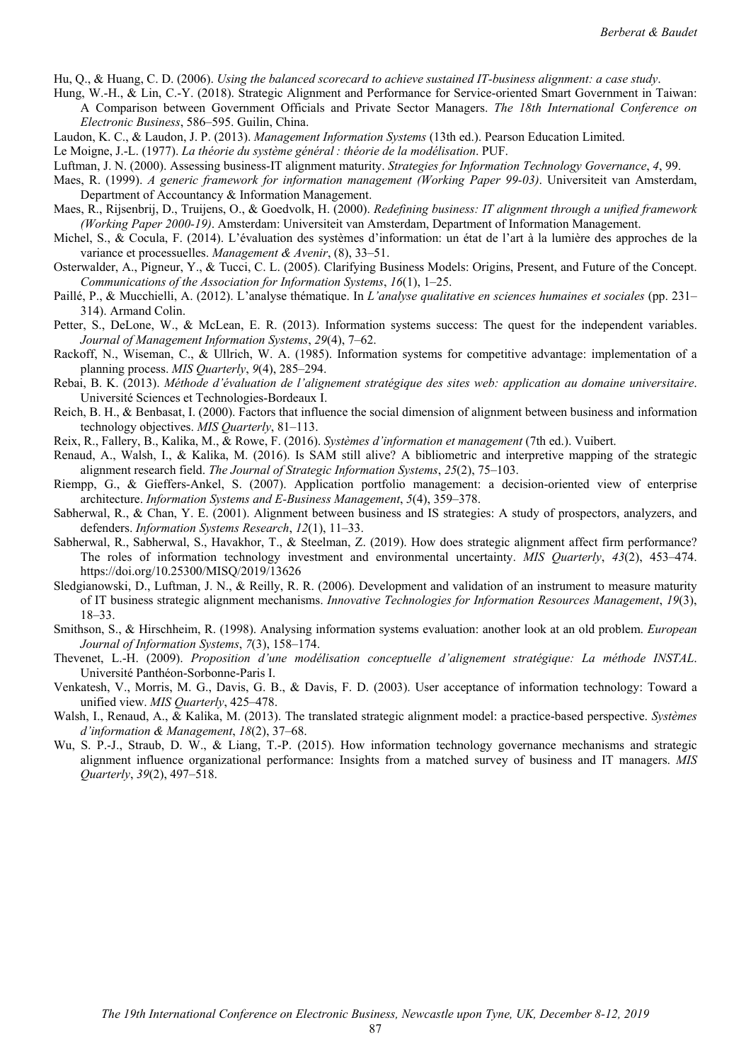Hu, Q., & Huang, C. D. (2006). *Using the balanced scorecard to achieve sustained IT-business alignment: a case study*.

- Hung, W.-H., & Lin, C.-Y. (2018). Strategic Alignment and Performance for Service-oriented Smart Government in Taiwan: A Comparison between Government Officials and Private Sector Managers. *The 18th International Conference on Electronic Business*, 586–595. Guilin, China.
- Laudon, K. C., & Laudon, J. P. (2013). *Management Information Systems* (13th ed.). Pearson Education Limited.
- Le Moigne, J.-L. (1977). *La théorie du système général : théorie de la modélisation*. PUF.
- Luftman, J. N. (2000). Assessing business-IT alignment maturity. *Strategies for Information Technology Governance*, *4*, 99.
- Maes, R. (1999). *A generic framework for information management (Working Paper 99-03)*. Universiteit van Amsterdam, Department of Accountancy & Information Management.
- Maes, R., Rijsenbrij, D., Truijens, O., & Goedvolk, H. (2000). *Redefining business: IT alignment through a unified framework (Working Paper 2000-19)*. Amsterdam: Universiteit van Amsterdam, Department of Information Management.
- Michel, S., & Cocula, F. (2014). L'évaluation des systèmes d'information: un état de l'art à la lumière des approches de la variance et processuelles. *Management & Avenir*, (8), 33–51.
- Osterwalder, A., Pigneur, Y., & Tucci, C. L. (2005). Clarifying Business Models: Origins, Present, and Future of the Concept. *Communications of the Association for Information Systems*, *16*(1), 1–25.
- Paillé, P., & Mucchielli, A. (2012). L'analyse thématique. In *L'analyse qualitative en sciences humaines et sociales* (pp. 231– 314). Armand Colin.
- Petter, S., DeLone, W., & McLean, E. R. (2013). Information systems success: The quest for the independent variables. *Journal of Management Information Systems*, *29*(4), 7–62.
- Rackoff, N., Wiseman, C., & Ullrich, W. A. (1985). Information systems for competitive advantage: implementation of a planning process. *MIS Quarterly*, *9*(4), 285–294.
- Rebai, B. K. (2013). *Méthode d'évaluation de l'alignement stratégique des sites web: application au domaine universitaire*. Université Sciences et Technologies-Bordeaux I.
- Reich, B. H., & Benbasat, I. (2000). Factors that influence the social dimension of alignment between business and information technology objectives. *MIS Quarterly*, 81–113.
- Reix, R., Fallery, B., Kalika, M., & Rowe, F. (2016). *Systèmes d'information et management* (7th ed.). Vuibert.
- Renaud, A., Walsh, I., & Kalika, M. (2016). Is SAM still alive? A bibliometric and interpretive mapping of the strategic alignment research field. *The Journal of Strategic Information Systems*, *25*(2), 75–103.
- Riempp, G., & Gieffers-Ankel, S. (2007). Application portfolio management: a decision-oriented view of enterprise architecture. *Information Systems and E-Business Management*, *5*(4), 359–378.
- Sabherwal, R., & Chan, Y. E. (2001). Alignment between business and IS strategies: A study of prospectors, analyzers, and defenders. *Information Systems Research*, *12*(1), 11–33.
- Sabherwal, R., Sabherwal, S., Havakhor, T., & Steelman, Z. (2019). How does strategic alignment affect firm performance? The roles of information technology investment and environmental uncertainty. *MIS Quarterly*, *43*(2), 453–474. https://doi.org/10.25300/MISQ/2019/13626
- Sledgianowski, D., Luftman, J. N., & Reilly, R. R. (2006). Development and validation of an instrument to measure maturity of IT business strategic alignment mechanisms. *Innovative Technologies for Information Resources Management*, *19*(3), 18–33.
- Smithson, S., & Hirschheim, R. (1998). Analysing information systems evaluation: another look at an old problem. *European Journal of Information Systems*, *7*(3), 158–174.
- Thevenet, L.-H. (2009). *Proposition d'une modélisation conceptuelle d'alignement stratégique: La méthode INSTAL*. Université Panthéon-Sorbonne-Paris I.
- Venkatesh, V., Morris, M. G., Davis, G. B., & Davis, F. D. (2003). User acceptance of information technology: Toward a unified view. *MIS Quarterly*, 425–478.
- Walsh, I., Renaud, A., & Kalika, M. (2013). The translated strategic alignment model: a practice-based perspective. *Systèmes d'information & Management*, *18*(2), 37–68.
- Wu, S. P.-J., Straub, D. W., & Liang, T.-P. (2015). How information technology governance mechanisms and strategic alignment influence organizational performance: Insights from a matched survey of business and IT managers. *MIS Quarterly*, *39*(2), 497–518.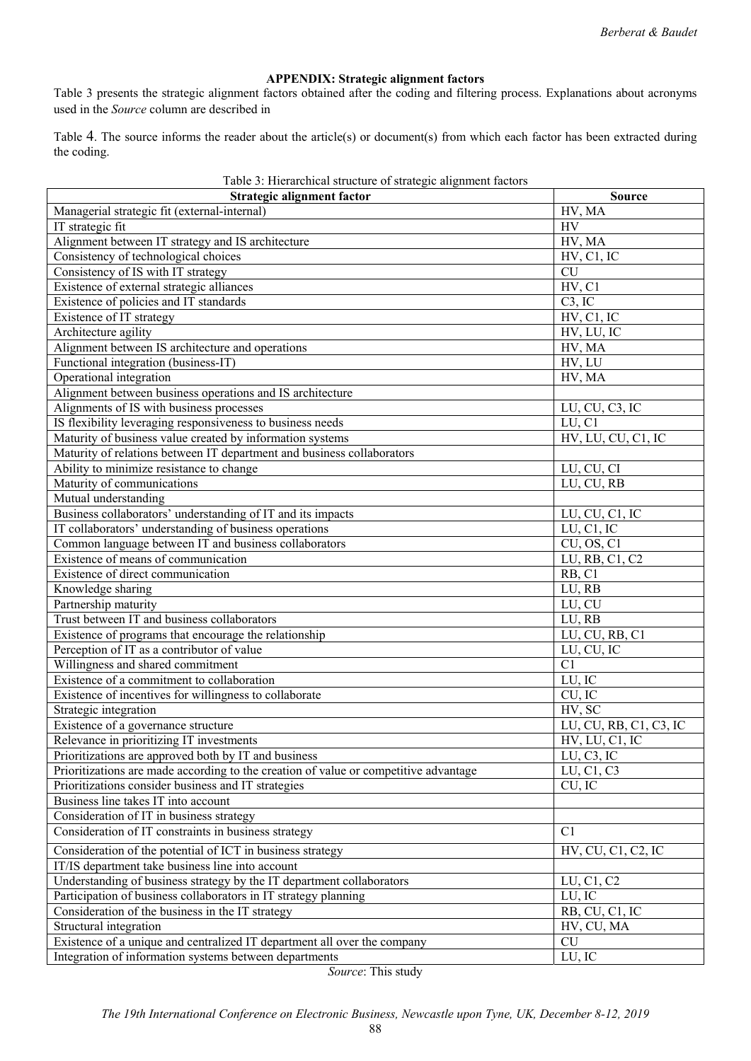# **APPENDIX: Strategic alignment factors**

Table 3 presents the strategic alignment factors obtained after the coding and filtering process. Explanations about acronyms used in the *Source* column are described in

Table 4. The source informs the reader about the article(s) or document(s) from which each factor has been extracted during the coding.

| Table 3: Hierarchical structure of strategic alignment factors                       |                                              |
|--------------------------------------------------------------------------------------|----------------------------------------------|
| <b>Strategic alignment factor</b>                                                    | <b>Source</b>                                |
| Managerial strategic fit (external-internal)                                         | HV, MA                                       |
| IT strategic fit                                                                     | <b>HV</b>                                    |
| Alignment between IT strategy and IS architecture                                    | HV, MA                                       |
| Consistency of technological choices                                                 | HV, C1, IC                                   |
| Consistency of IS with IT strategy                                                   | $\overline{\text{CU}}$                       |
| Existence of external strategic alliances                                            | HV, C1                                       |
| Existence of policies and IT standards                                               | C3, IC                                       |
| Existence of IT strategy                                                             | HV, C1, IC                                   |
| Architecture agility                                                                 | HV, LU, IC                                   |
| Alignment between IS architecture and operations                                     | HV, MA                                       |
| Functional integration (business-IT)                                                 | HV, LU                                       |
| Operational integration                                                              | HV, MA                                       |
| Alignment between business operations and IS architecture                            |                                              |
| Alignments of IS with business processes                                             | LU, CU, C3, IC                               |
| IS flexibility leveraging responsiveness to business needs                           | LU, C1                                       |
| Maturity of business value created by information systems                            | HV, LU, CU, C1, IC                           |
| Maturity of relations between IT department and business collaborators               |                                              |
| Ability to minimize resistance to change                                             | LU, CU, CI                                   |
| Maturity of communications                                                           | LU, CU, RB                                   |
| Mutual understanding                                                                 |                                              |
| Business collaborators' understanding of IT and its impacts                          | LU, CU, C1, IC                               |
| IT collaborators' understanding of business operations                               | LU, C1, IC                                   |
| Common language between IT and business collaborators                                | CU, OS, C1                                   |
| Existence of means of communication                                                  | LU, RB, C1, C2                               |
| Existence of direct communication                                                    | RB, C1                                       |
| Knowledge sharing                                                                    | LU, RB                                       |
| Partnership maturity                                                                 | LU, CU                                       |
| Trust between IT and business collaborators                                          | LU, RB                                       |
| Existence of programs that encourage the relationship                                | LU, CU, RB, C1                               |
| Perception of IT as a contributor of value                                           | LU, CU, IC                                   |
| Willingness and shared commitment                                                    | $\overline{C}1$                              |
| Existence of a commitment to collaboration                                           | LU, IC                                       |
| Existence of incentives for willingness to collaborate                               | $\overline{\text{CU}}, \overline{\text{IC}}$ |
| Strategic integration                                                                | HV, SC                                       |
| Existence of a governance structure                                                  | LU, CU, RB, C1, C3, IC                       |
| Relevance in prioritizing IT investments                                             | HV, LU, C1, IC                               |
| Prioritizations are approved both by IT and business                                 | LU, C3, IC                                   |
| Prioritizations are made according to the creation of value or competitive advantage | LU, C1, C3                                   |
| Prioritizations consider business and IT strategies                                  | CU, IC                                       |
| Business line takes IT into account                                                  |                                              |
| Consideration of IT in business strategy                                             |                                              |
| Consideration of IT constraints in business strategy                                 | C1                                           |
| Consideration of the potential of ICT in business strategy                           | HV, CU, C1, C2, IC                           |
| IT/IS department take business line into account                                     |                                              |
| Understanding of business strategy by the IT department collaborators                | LU, C1, C2                                   |
| Participation of business collaborators in IT strategy planning                      | LU, IC                                       |
| Consideration of the business in the IT strategy                                     | RB, CU, C1, IC                               |
| Structural integration                                                               | HV, CU, MA                                   |
| Existence of a unique and centralized IT department all over the company             | CU                                           |
| Integration of information systems between departments                               | LU, IC                                       |
|                                                                                      |                                              |

*Source*: This study